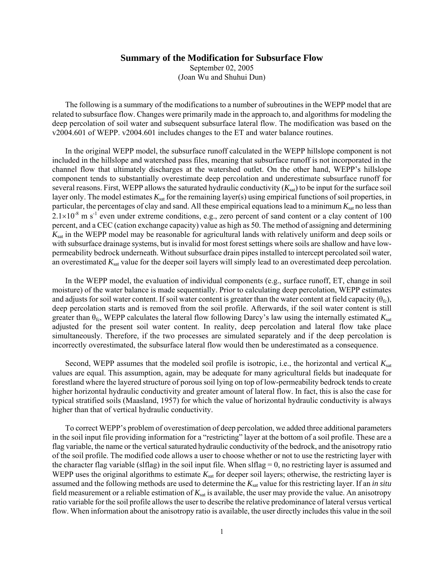## **Summary of the Modification for Subsurface Flow**

September 02, 2005 (Joan Wu and Shuhui Dun)

The following is a summary of the modifications to a number of subroutines in the WEPP model that are related to subsurface flow. Changes were primarily made in the approach to, and algorithms for modeling the deep percolation of soil water and subsequent subsurface lateral flow. The modification was based on the v2004.601 of WEPP. v2004.601 includes changes to the ET and water balance routines.

In the original WEPP model, the subsurface runoff calculated in the WEPP hillslope component is not included in the hillslope and watershed pass files, meaning that subsurface runoff is not incorporated in the channel flow that ultimately discharges at the watershed outlet. On the other hand, WEPP's hillslope component tends to substantially overestimate deep percolation and underestimate subsurface runoff for several reasons. First, WEPP allows the saturated hydraulic conductivity  $(K_{\text{sat}})$  to be input for the surface soil layer only. The model estimates  $K_{sat}$  for the remaining layer(s) using empirical functions of soil properties, in particular, the percentages of clay and sand. All these empirical equations lead to a minimum  $K_{\text{sat}}$  no less than  $2.1\times10^{-8}$  m s<sup>-1</sup> even under extreme conditions, e.g., zero percent of sand content or a clay content of 100 percent, and a CEC (cation exchange capacity) value as high as 50. The method of assigning and determining *K*sat in the WEPP model may be reasonable for agricultural lands with relatively uniform and deep soils or with subsurface drainage systems, but is invalid for most forest settings where soils are shallow and have lowpermeability bedrock underneath. Without subsurface drain pipes installed to intercept percolated soil water, an overestimated  $K_{\text{sat}}$  value for the deeper soil layers will simply lead to an overestimated deep percolation.

In the WEPP model, the evaluation of individual components (e.g., surface runoff, ET, change in soil moisture) of the water balance is made sequentially. Prior to calculating deep percolation, WEPP estimates and adjusts for soil water content. If soil water content is greater than the water content at field capacity ( $\theta_{\text{fc}}$ ), deep percolation starts and is removed from the soil profile. Afterwards, if the soil water content is still greater than  $\theta_{\text{fc}}$ , WEPP calculates the lateral flow following Darcy's law using the internally estimated  $K_{\text{sat}}$ adjusted for the present soil water content. In reality, deep percolation and lateral flow take place simultaneously. Therefore, if the two processes are simulated separately and if the deep percolation is incorrectly overestimated, the subsurface lateral flow would then be underestimated as a consequence.

Second, WEPP assumes that the modeled soil profile is isotropic, i.e., the horizontal and vertical *K*sat values are equal. This assumption, again, may be adequate for many agricultural fields but inadequate for forestland where the layered structure of porous soil lying on top of low-permeability bedrock tends to create higher horizontal hydraulic conductivity and greater amount of lateral flow. In fact, this is also the case for typical stratified soils (Maasland, 1957) for which the value of horizontal hydraulic conductivity is always higher than that of vertical hydraulic conductivity.

To correct WEPP's problem of overestimation of deep percolation, we added three additional parameters in the soil input file providing information for a "restricting" layer at the bottom of a soil profile. These are a flag variable, the name or the vertical saturated hydraulic conductivity of the bedrock, and the anisotropy ratio of the soil profile. The modified code allows a user to choose whether or not to use the restricting layer with the character flag variable (slflag) in the soil input file. When slflag  $= 0$ , no restricting layer is assumed and WEPP uses the original algorithms to estimate  $K_{sat}$  for deeper soil layers; otherwise, the restricting layer is assumed and the following methods are used to determine the  $K_{sat}$  value for this restricting layer. If an *in situ* field measurement or a reliable estimation of *K*sat is available, the user may provide the value. An anisotropy ratio variable for the soil profile allows the user to describe the relative predominance of lateral versus vertical flow. When information about the anisotropy ratio is available, the user directly includes this value in the soil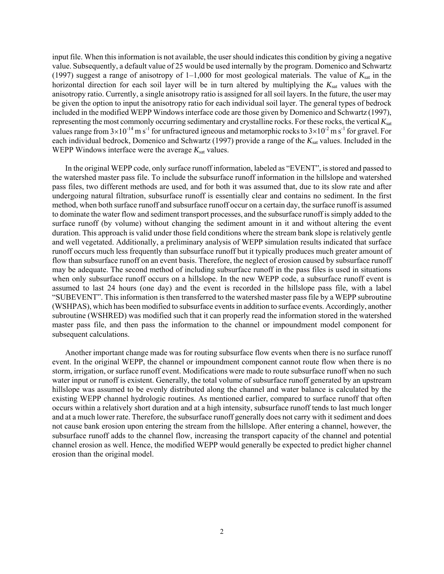input file. When this information is not available, the user should indicates this condition by giving a negative value. Subsequently, a default value of 25 would be used internally by the program. Domenico and Schwartz (1997) suggest a range of anisotropy of  $1-1,000$  for most geological materials. The value of  $K_{sat}$  in the horizontal direction for each soil layer will be in turn altered by multiplying the  $K_{sat}$  values with the anisotropy ratio. Currently, a single anisotropy ratio is assigned for all soil layers. In the future, the user may be given the option to input the anisotropy ratio for each individual soil layer. The general types of bedrock included in the modified WEPP Windows interface code are those given by Domenico and Schwartz (1997), representing the most commonly occurring sedimentary and crystalline rocks. For these rocks, the vertical *K*<sub>sat</sub> values range from  $3\times10^{-14}$  m s<sup>-1</sup> for unfractured igneous and metamorphic rocks to  $3\times10^{-2}$  m s<sup>-1</sup> for gravel. For each individual bedrock, Domenico and Schwartz (1997) provide a range of the  $K_{sat}$  values. Included in the WEPP Windows interface were the average  $K_{\text{sat}}$  values.

In the original WEPP code, only surface runoff information, labeled as "EVENT", is stored and passed to the watershed master pass file. To include the subsurface runoff information in the hillslope and watershed pass files, two different methods are used, and for both it was assumed that, due to its slow rate and after undergoing natural filtration, subsurface runoff is essentially clear and contains no sediment. In the first method, when both surface runoff and subsurface runoff occur on a certain day, the surface runoff is assumed to dominate the water flow and sediment transport processes, and the subsurface runoff is simply added to the surface runoff (by volume) without changing the sediment amount in it and without altering the event duration. This approach is valid under those field conditions where the stream bank slope is relatively gentle and well vegetated. Additionally, a preliminary analysis of WEPP simulation results indicated that surface runoff occurs much less frequently than subsurface runoff but it typically produces much greater amount of flow than subsurface runoff on an event basis. Therefore, the neglect of erosion caused by subsurface runoff may be adequate. The second method of including subsurface runoff in the pass files is used in situations when only subsurface runoff occurs on a hillslope. In the new WEPP code, a subsurface runoff event is assumed to last 24 hours (one day) and the event is recorded in the hillslope pass file, with a label "SUBEVENT". This information is then transferred to the watershed master pass file by a WEPP subroutine (WSHPAS), which has been modified to subsurface events in addition to surface events. Accordingly, another subroutine (WSHRED) was modified such that it can properly read the information stored in the watershed master pass file, and then pass the information to the channel or impoundment model component for subsequent calculations.

Another important change made was for routing subsurface flow events when there is no surface runoff event. In the original WEPP, the channel or impoundment component cannot route flow when there is no storm, irrigation, or surface runoff event. Modifications were made to route subsurface runoff when no such water input or runoff is existent. Generally, the total volume of subsurface runoff generated by an upstream hillslope was assumed to be evenly distributed along the channel and water balance is calculated by the existing WEPP channel hydrologic routines. As mentioned earlier, compared to surface runoff that often occurs within a relatively short duration and at a high intensity, subsurface runoff tends to last much longer and at a much lower rate. Therefore, the subsurface runoff generally does not carry with it sediment and does not cause bank erosion upon entering the stream from the hillslope. After entering a channel, however, the subsurface runoff adds to the channel flow, increasing the transport capacity of the channel and potential channel erosion as well. Hence, the modified WEPP would generally be expected to predict higher channel erosion than the original model.